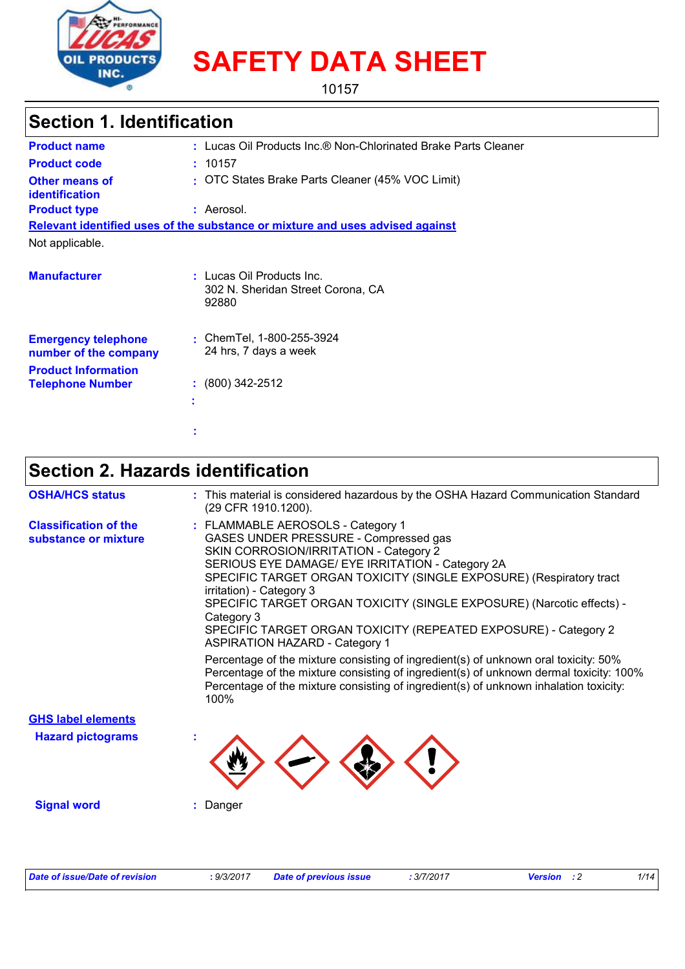

# **SAFETY DATA SHEET**

10157

## **Section 1. Identification**

| <b>Product name</b>                                                               | : Lucas Oil Products Inc.® Non-Chlorinated Brake Parts Cleaner                |
|-----------------------------------------------------------------------------------|-------------------------------------------------------------------------------|
| <b>Product code</b>                                                               | : 10157                                                                       |
| <b>Other means of</b><br>identification                                           | : OTC States Brake Parts Cleaner (45% VOC Limit)                              |
| <b>Product type</b>                                                               | : Aerosol.                                                                    |
|                                                                                   | Relevant identified uses of the substance or mixture and uses advised against |
| Not applicable.                                                                   |                                                                               |
| <b>Manufacturer</b>                                                               | : Lucas Oil Products Inc.<br>302 N. Sheridan Street Corona, CA<br>92880       |
| <b>Emergency telephone</b><br>number of the company<br><b>Product Information</b> | : ChemTel, $1-800-255-3924$<br>24 hrs, 7 days a week                          |
| <b>Telephone Number</b>                                                           | $\div$ (800) 342-2512<br>٠                                                    |
|                                                                                   |                                                                               |

## **Section 2. Hazards identification**

**:**

| <b>OSHA/HCS status</b>                               | : This material is considered hazardous by the OSHA Hazard Communication Standard<br>(29 CFR 1910.1200).                                                                                                                                                                                                                                                                                                                                                                                                                                                                                                                                                                                                                                                         |
|------------------------------------------------------|------------------------------------------------------------------------------------------------------------------------------------------------------------------------------------------------------------------------------------------------------------------------------------------------------------------------------------------------------------------------------------------------------------------------------------------------------------------------------------------------------------------------------------------------------------------------------------------------------------------------------------------------------------------------------------------------------------------------------------------------------------------|
| <b>Classification of the</b><br>substance or mixture | : FLAMMABLE AEROSOLS - Category 1<br>GASES UNDER PRESSURE - Compressed gas<br>SKIN CORROSION/IRRITATION - Category 2<br>SERIOUS EYE DAMAGE/ EYE IRRITATION - Category 2A<br>SPECIFIC TARGET ORGAN TOXICITY (SINGLE EXPOSURE) (Respiratory tract<br>irritation) - Category 3<br>SPECIFIC TARGET ORGAN TOXICITY (SINGLE EXPOSURE) (Narcotic effects) -<br>Category 3<br>SPECIFIC TARGET ORGAN TOXICITY (REPEATED EXPOSURE) - Category 2<br><b>ASPIRATION HAZARD - Category 1</b><br>Percentage of the mixture consisting of ingredient(s) of unknown oral toxicity: 50%<br>Percentage of the mixture consisting of ingredient(s) of unknown dermal toxicity: 100%<br>Percentage of the mixture consisting of ingredient(s) of unknown inhalation toxicity:<br>100% |
| <b>GHS label elements</b>                            |                                                                                                                                                                                                                                                                                                                                                                                                                                                                                                                                                                                                                                                                                                                                                                  |
| <b>Hazard pictograms</b>                             |                                                                                                                                                                                                                                                                                                                                                                                                                                                                                                                                                                                                                                                                                                                                                                  |
| <b>Signal word</b>                                   | Danger                                                                                                                                                                                                                                                                                                                                                                                                                                                                                                                                                                                                                                                                                                                                                           |
|                                                      |                                                                                                                                                                                                                                                                                                                                                                                                                                                                                                                                                                                                                                                                                                                                                                  |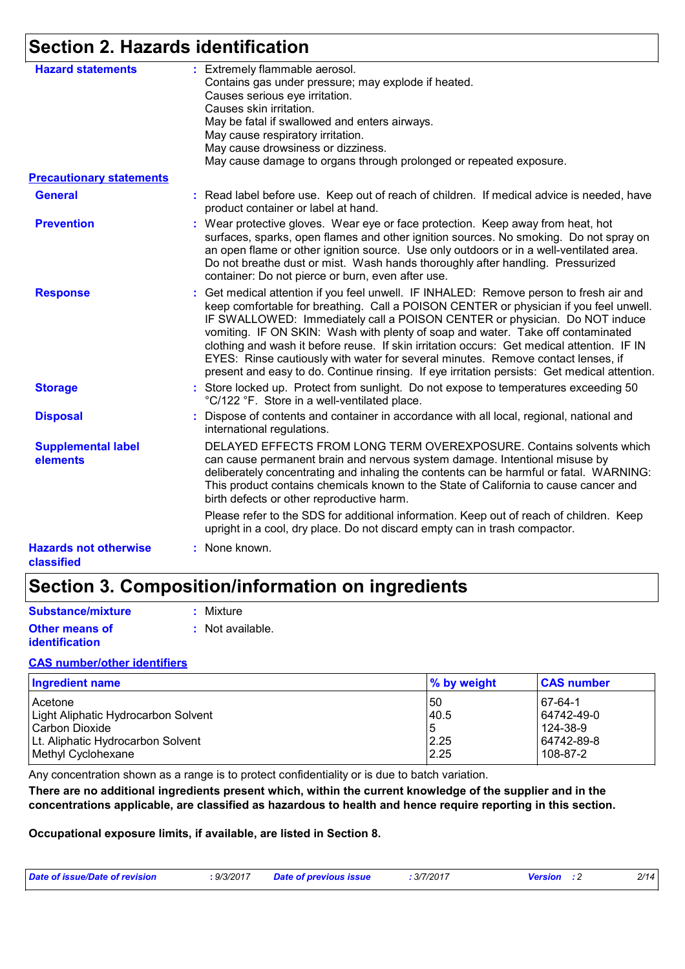## **Section 2. Hazards identification**

| <b>Hazard statements</b>                   | : Extremely flammable aerosol.<br>Contains gas under pressure; may explode if heated.<br>Causes serious eye irritation.<br>Causes skin irritation.<br>May be fatal if swallowed and enters airways.<br>May cause respiratory irritation.<br>May cause drowsiness or dizziness.<br>May cause damage to organs through prolonged or repeated exposure.                                                                                                                                                                                                                                                                               |
|--------------------------------------------|------------------------------------------------------------------------------------------------------------------------------------------------------------------------------------------------------------------------------------------------------------------------------------------------------------------------------------------------------------------------------------------------------------------------------------------------------------------------------------------------------------------------------------------------------------------------------------------------------------------------------------|
| <b>Precautionary statements</b>            |                                                                                                                                                                                                                                                                                                                                                                                                                                                                                                                                                                                                                                    |
| <b>General</b>                             | : Read label before use. Keep out of reach of children. If medical advice is needed, have<br>product container or label at hand.                                                                                                                                                                                                                                                                                                                                                                                                                                                                                                   |
| <b>Prevention</b>                          | : Wear protective gloves. Wear eye or face protection. Keep away from heat, hot<br>surfaces, sparks, open flames and other ignition sources. No smoking. Do not spray on<br>an open flame or other ignition source. Use only outdoors or in a well-ventilated area.<br>Do not breathe dust or mist. Wash hands thoroughly after handling. Pressurized<br>container: Do not pierce or burn, even after use.                                                                                                                                                                                                                         |
| <b>Response</b>                            | : Get medical attention if you feel unwell. IF INHALED: Remove person to fresh air and<br>keep comfortable for breathing. Call a POISON CENTER or physician if you feel unwell.<br>IF SWALLOWED: Immediately call a POISON CENTER or physician. Do NOT induce<br>vomiting. IF ON SKIN: Wash with plenty of soap and water. Take off contaminated<br>clothing and wash it before reuse. If skin irritation occurs: Get medical attention. IF IN<br>EYES: Rinse cautiously with water for several minutes. Remove contact lenses, if<br>present and easy to do. Continue rinsing. If eye irritation persists: Get medical attention. |
| <b>Storage</b>                             | : Store locked up. Protect from sunlight. Do not expose to temperatures exceeding 50<br>°C/122 °F. Store in a well-ventilated place.                                                                                                                                                                                                                                                                                                                                                                                                                                                                                               |
| <b>Disposal</b>                            | : Dispose of contents and container in accordance with all local, regional, national and<br>international regulations.                                                                                                                                                                                                                                                                                                                                                                                                                                                                                                             |
| <b>Supplemental label</b><br>elements      | DELAYED EFFECTS FROM LONG TERM OVEREXPOSURE. Contains solvents which<br>can cause permanent brain and nervous system damage. Intentional misuse by<br>deliberately concentrating and inhaling the contents can be harmful or fatal. WARNING:<br>This product contains chemicals known to the State of California to cause cancer and<br>birth defects or other reproductive harm.                                                                                                                                                                                                                                                  |
|                                            | Please refer to the SDS for additional information. Keep out of reach of children. Keep<br>upright in a cool, dry place. Do not discard empty can in trash compactor.                                                                                                                                                                                                                                                                                                                                                                                                                                                              |
| <b>Hazards not otherwise</b><br>classified | : None known.                                                                                                                                                                                                                                                                                                                                                                                                                                                                                                                                                                                                                      |

## **Section 3. Composition/information on ingredients**

| <b>Substance/mixture</b> | : Mixture        |
|--------------------------|------------------|
| <b>Other means of</b>    | : Not available. |
| identification           |                  |

### **CAS number/other identifiers**

| <b>Ingredient name</b>              | % by weight | <b>CAS number</b> |
|-------------------------------------|-------------|-------------------|
| <b>Acetone</b>                      | l 50        | 67-64-1           |
| Light Aliphatic Hydrocarbon Solvent | 40.5        | 64742-49-0        |
| Carbon Dioxide                      | ს           | 124-38-9          |
| Lt. Aliphatic Hydrocarbon Solvent   | 2.25        | 64742-89-8        |
| Methyl Cyclohexane                  | 2.25        | 108-87-2          |

Any concentration shown as a range is to protect confidentiality or is due to batch variation.

**There are no additional ingredients present which, within the current knowledge of the supplier and in the concentrations applicable, are classified as hazardous to health and hence require reporting in this section.**

**Occupational exposure limits, if available, are listed in Section 8.**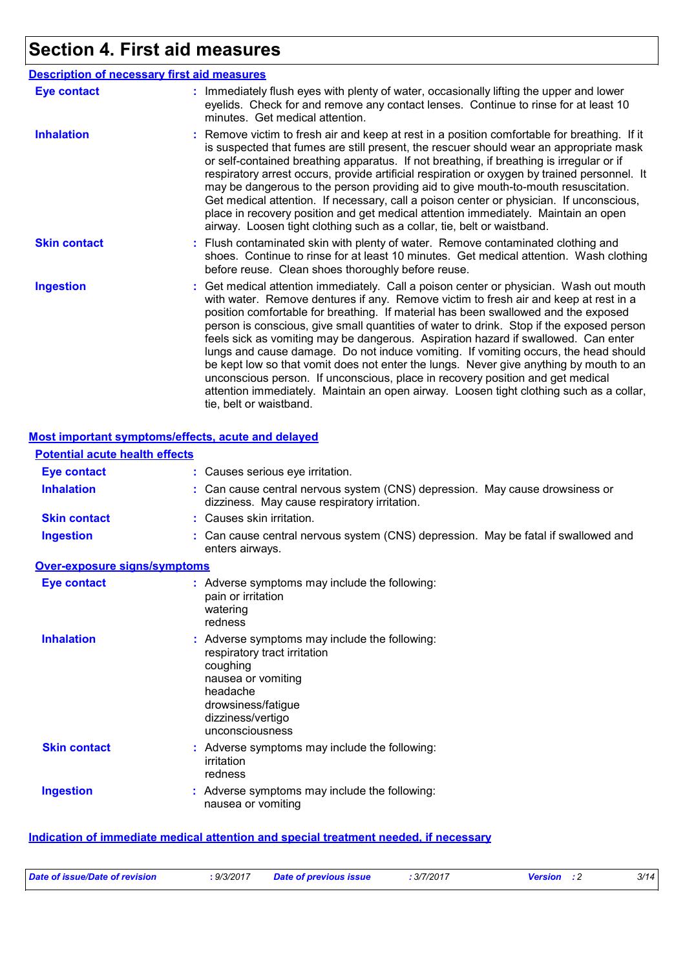## **Section 4. First aid measures**

|                     | <b>Description of necessary first aid measures</b>                                                                                                                                                                                                                                                                                                                                                                                                                                                                                                                                                                                                                                                                                                                                                                                              |
|---------------------|-------------------------------------------------------------------------------------------------------------------------------------------------------------------------------------------------------------------------------------------------------------------------------------------------------------------------------------------------------------------------------------------------------------------------------------------------------------------------------------------------------------------------------------------------------------------------------------------------------------------------------------------------------------------------------------------------------------------------------------------------------------------------------------------------------------------------------------------------|
| <b>Eye contact</b>  | : Immediately flush eyes with plenty of water, occasionally lifting the upper and lower<br>eyelids. Check for and remove any contact lenses. Continue to rinse for at least 10<br>minutes. Get medical attention.                                                                                                                                                                                                                                                                                                                                                                                                                                                                                                                                                                                                                               |
| <b>Inhalation</b>   | : Remove victim to fresh air and keep at rest in a position comfortable for breathing. If it<br>is suspected that fumes are still present, the rescuer should wear an appropriate mask<br>or self-contained breathing apparatus. If not breathing, if breathing is irregular or if<br>respiratory arrest occurs, provide artificial respiration or oxygen by trained personnel. It<br>may be dangerous to the person providing aid to give mouth-to-mouth resuscitation.<br>Get medical attention. If necessary, call a poison center or physician. If unconscious,<br>place in recovery position and get medical attention immediately. Maintain an open<br>airway. Loosen tight clothing such as a collar, tie, belt or waistband.                                                                                                            |
| <b>Skin contact</b> | : Flush contaminated skin with plenty of water. Remove contaminated clothing and<br>shoes. Continue to rinse for at least 10 minutes. Get medical attention. Wash clothing<br>before reuse. Clean shoes thoroughly before reuse.                                                                                                                                                                                                                                                                                                                                                                                                                                                                                                                                                                                                                |
| <b>Ingestion</b>    | : Get medical attention immediately. Call a poison center or physician. Wash out mouth<br>with water. Remove dentures if any. Remove victim to fresh air and keep at rest in a<br>position comfortable for breathing. If material has been swallowed and the exposed<br>person is conscious, give small quantities of water to drink. Stop if the exposed person<br>feels sick as vomiting may be dangerous. Aspiration hazard if swallowed. Can enter<br>lungs and cause damage. Do not induce vomiting. If vomiting occurs, the head should<br>be kept low so that vomit does not enter the lungs. Never give anything by mouth to an<br>unconscious person. If unconscious, place in recovery position and get medical<br>attention immediately. Maintain an open airway. Loosen tight clothing such as a collar,<br>tie, belt or waistband. |

### **Most important symptoms/effects, acute and delayed**

| <b>Potential acute health effects</b> |                                                                                                                                                                                           |  |
|---------------------------------------|-------------------------------------------------------------------------------------------------------------------------------------------------------------------------------------------|--|
| <b>Eye contact</b>                    | : Causes serious eye irritation.                                                                                                                                                          |  |
| <b>Inhalation</b>                     | : Can cause central nervous system (CNS) depression. May cause drowsiness or<br>dizziness. May cause respiratory irritation.                                                              |  |
| <b>Skin contact</b>                   | : Causes skin irritation.                                                                                                                                                                 |  |
| <b>Ingestion</b>                      | : Can cause central nervous system (CNS) depression. May be fatal if swallowed and<br>enters airways.                                                                                     |  |
| Over-exposure signs/symptoms          |                                                                                                                                                                                           |  |
| <b>Eye contact</b>                    | : Adverse symptoms may include the following:<br>pain or irritation<br>watering<br>redness                                                                                                |  |
| <b>Inhalation</b>                     | : Adverse symptoms may include the following:<br>respiratory tract irritation<br>coughing<br>nausea or vomiting<br>headache<br>drowsiness/fatigue<br>dizziness/vertigo<br>unconsciousness |  |
| <b>Skin contact</b>                   | : Adverse symptoms may include the following:<br>irritation<br>redness                                                                                                                    |  |
| <b>Ingestion</b>                      | : Adverse symptoms may include the following:<br>nausea or vomiting                                                                                                                       |  |

## **Indication of immediate medical attention and special treatment needed, if necessary**

| Date of issue/Date of revision<br>: 3/7/2017<br>: 9/3/2017<br><b>Date of previous issue</b><br><b>Version</b> : 2 |  |  |  |  |  | 3/14 |
|-------------------------------------------------------------------------------------------------------------------|--|--|--|--|--|------|
|-------------------------------------------------------------------------------------------------------------------|--|--|--|--|--|------|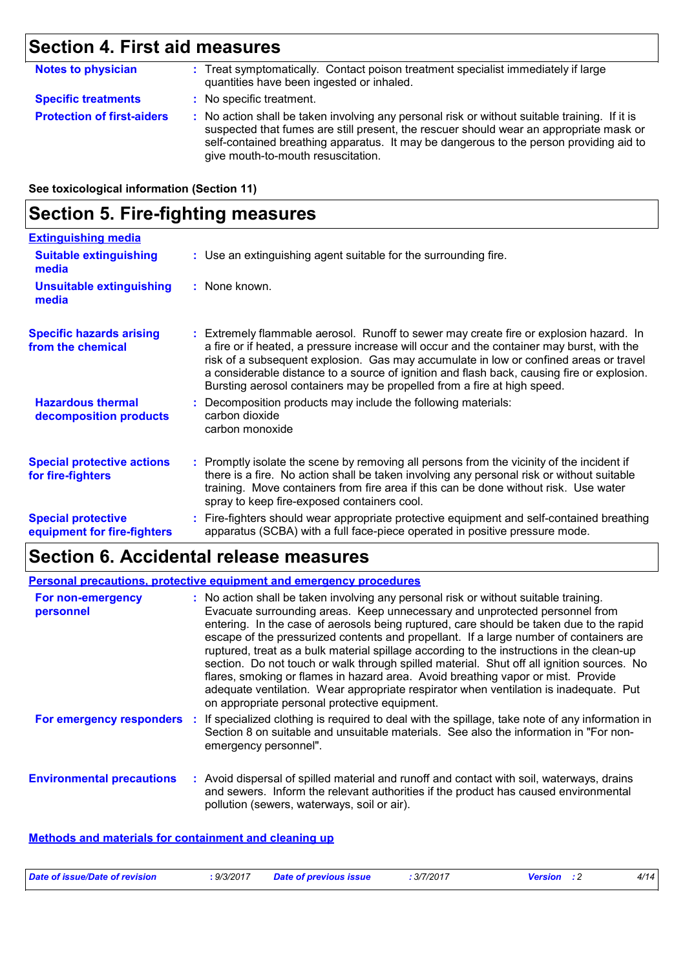## **Section 4. First aid measures**

| <b>Notes to physician</b>         | : Treat symptomatically. Contact poison treatment specialist immediately if large<br>quantities have been ingested or inhaled.                                                                                                                                                                                          |
|-----------------------------------|-------------------------------------------------------------------------------------------------------------------------------------------------------------------------------------------------------------------------------------------------------------------------------------------------------------------------|
| <b>Specific treatments</b>        | : No specific treatment.                                                                                                                                                                                                                                                                                                |
| <b>Protection of first-aiders</b> | : No action shall be taken involving any personal risk or without suitable training. If it is<br>suspected that fumes are still present, the rescuer should wear an appropriate mask or<br>self-contained breathing apparatus. It may be dangerous to the person providing aid to<br>give mouth-to-mouth resuscitation. |

### **See toxicological information (Section 11)**

## **Section 5. Fire-fighting measures**

| <b>Extinguishing media</b>                               |                                                                                                                                                                                                                                                                                                                                                                                                                                                       |
|----------------------------------------------------------|-------------------------------------------------------------------------------------------------------------------------------------------------------------------------------------------------------------------------------------------------------------------------------------------------------------------------------------------------------------------------------------------------------------------------------------------------------|
| <b>Suitable extinguishing</b><br>media                   | : Use an extinguishing agent suitable for the surrounding fire.                                                                                                                                                                                                                                                                                                                                                                                       |
| <b>Unsuitable extinguishing</b><br>media                 | : None known.                                                                                                                                                                                                                                                                                                                                                                                                                                         |
| <b>Specific hazards arising</b><br>from the chemical     | : Extremely flammable aerosol. Runoff to sewer may create fire or explosion hazard. In<br>a fire or if heated, a pressure increase will occur and the container may burst, with the<br>risk of a subsequent explosion. Gas may accumulate in low or confined areas or travel<br>a considerable distance to a source of ignition and flash back, causing fire or explosion.<br>Bursting aerosol containers may be propelled from a fire at high speed. |
| <b>Hazardous thermal</b><br>decomposition products       | : Decomposition products may include the following materials:<br>carbon dioxide<br>carbon monoxide                                                                                                                                                                                                                                                                                                                                                    |
| <b>Special protective actions</b><br>for fire-fighters   | : Promptly isolate the scene by removing all persons from the vicinity of the incident if<br>there is a fire. No action shall be taken involving any personal risk or without suitable<br>training. Move containers from fire area if this can be done without risk. Use water<br>spray to keep fire-exposed containers cool.                                                                                                                         |
| <b>Special protective</b><br>equipment for fire-fighters | : Fire-fighters should wear appropriate protective equipment and self-contained breathing<br>apparatus (SCBA) with a full face-piece operated in positive pressure mode.                                                                                                                                                                                                                                                                              |

## **Section 6. Accidental release measures**

|                                  |     | <b>Personal precautions, protective equipment and emergency procedures</b>                                                                                                                                                                                                                                                                                                                                                                                                                                                                                                                                                                                                                                                                                                       |
|----------------------------------|-----|----------------------------------------------------------------------------------------------------------------------------------------------------------------------------------------------------------------------------------------------------------------------------------------------------------------------------------------------------------------------------------------------------------------------------------------------------------------------------------------------------------------------------------------------------------------------------------------------------------------------------------------------------------------------------------------------------------------------------------------------------------------------------------|
| For non-emergency<br>personnel   |     | : No action shall be taken involving any personal risk or without suitable training.<br>Evacuate surrounding areas. Keep unnecessary and unprotected personnel from<br>entering. In the case of aerosols being ruptured, care should be taken due to the rapid<br>escape of the pressurized contents and propellant. If a large number of containers are<br>ruptured, treat as a bulk material spillage according to the instructions in the clean-up<br>section. Do not touch or walk through spilled material. Shut off all ignition sources. No<br>flares, smoking or flames in hazard area. Avoid breathing vapor or mist. Provide<br>adequate ventilation. Wear appropriate respirator when ventilation is inadequate. Put<br>on appropriate personal protective equipment. |
| For emergency responders         | -11 | If specialized clothing is required to deal with the spillage, take note of any information in<br>Section 8 on suitable and unsuitable materials. See also the information in "For non-<br>emergency personnel".                                                                                                                                                                                                                                                                                                                                                                                                                                                                                                                                                                 |
| <b>Environmental precautions</b> |     | : Avoid dispersal of spilled material and runoff and contact with soil, waterways, drains<br>and sewers. Inform the relevant authorities if the product has caused environmental<br>pollution (sewers, waterways, soil or air).                                                                                                                                                                                                                                                                                                                                                                                                                                                                                                                                                  |

### **Methods and materials for containment and cleaning up**

| Date of issue/Date of revision | : 9/3/2017 | <b>Date of previous issue</b> | 3/7/2017 | Version | 4/14 |
|--------------------------------|------------|-------------------------------|----------|---------|------|
|                                |            |                               |          |         |      |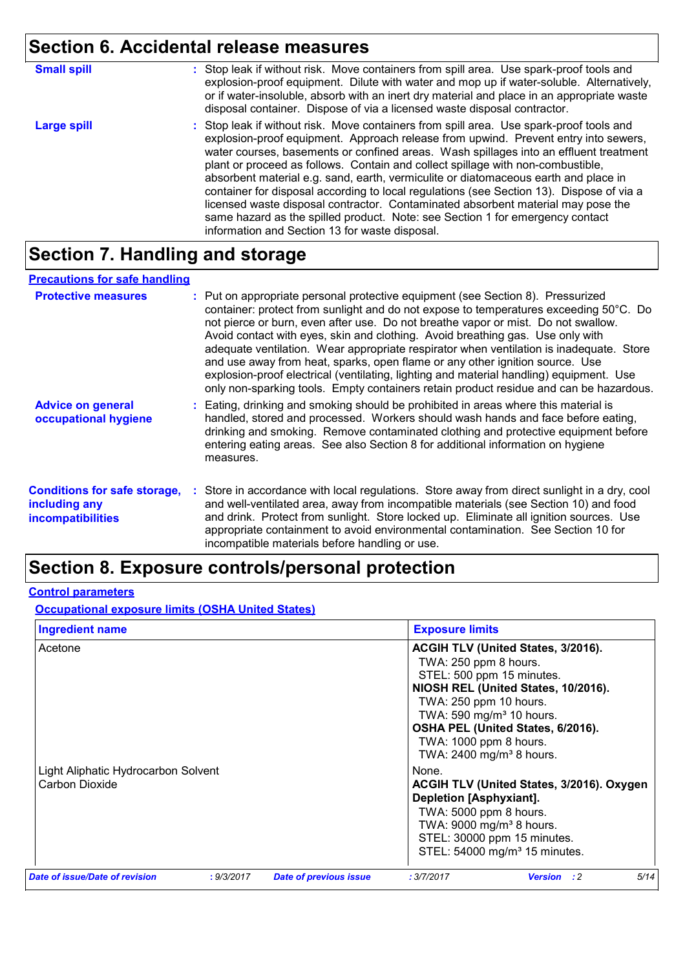# **Section 6. Accidental release measures**

| <b>Small spill</b> | : Stop leak if without risk. Move containers from spill area. Use spark-proof tools and<br>explosion-proof equipment. Dilute with water and mop up if water-soluble. Alternatively,<br>or if water-insoluble, absorb with an inert dry material and place in an appropriate waste<br>disposal container. Dispose of via a licensed waste disposal contractor.                                                                                                                                                                                                                                                                                                                                                                                                        |
|--------------------|----------------------------------------------------------------------------------------------------------------------------------------------------------------------------------------------------------------------------------------------------------------------------------------------------------------------------------------------------------------------------------------------------------------------------------------------------------------------------------------------------------------------------------------------------------------------------------------------------------------------------------------------------------------------------------------------------------------------------------------------------------------------|
| <b>Large spill</b> | : Stop leak if without risk. Move containers from spill area. Use spark-proof tools and<br>explosion-proof equipment. Approach release from upwind. Prevent entry into sewers,<br>water courses, basements or confined areas. Wash spillages into an effluent treatment<br>plant or proceed as follows. Contain and collect spillage with non-combustible,<br>absorbent material e.g. sand, earth, vermiculite or diatomaceous earth and place in<br>container for disposal according to local regulations (see Section 13). Dispose of via a<br>licensed waste disposal contractor. Contaminated absorbent material may pose the<br>same hazard as the spilled product. Note: see Section 1 for emergency contact<br>information and Section 13 for waste disposal. |

## **Section 7. Handling and storage**

### **Precautions for safe handling**

| <b>Protective measures</b>                                                | : Put on appropriate personal protective equipment (see Section 8). Pressurized<br>container: protect from sunlight and do not expose to temperatures exceeding 50°C. Do<br>not pierce or burn, even after use. Do not breathe vapor or mist. Do not swallow.<br>Avoid contact with eyes, skin and clothing. Avoid breathing gas. Use only with<br>adequate ventilation. Wear appropriate respirator when ventilation is inadequate. Store<br>and use away from heat, sparks, open flame or any other ignition source. Use<br>explosion-proof electrical (ventilating, lighting and material handling) equipment. Use<br>only non-sparking tools. Empty containers retain product residue and can be hazardous. |
|---------------------------------------------------------------------------|-----------------------------------------------------------------------------------------------------------------------------------------------------------------------------------------------------------------------------------------------------------------------------------------------------------------------------------------------------------------------------------------------------------------------------------------------------------------------------------------------------------------------------------------------------------------------------------------------------------------------------------------------------------------------------------------------------------------|
| <b>Advice on general</b><br>occupational hygiene                          | : Eating, drinking and smoking should be prohibited in areas where this material is<br>handled, stored and processed. Workers should wash hands and face before eating,<br>drinking and smoking. Remove contaminated clothing and protective equipment before<br>entering eating areas. See also Section 8 for additional information on hygiene<br>measures.                                                                                                                                                                                                                                                                                                                                                   |
| <b>Conditions for safe storage,</b><br>including any<br>incompatibilities | : Store in accordance with local regulations. Store away from direct sunlight in a dry, cool<br>and well-ventilated area, away from incompatible materials (see Section 10) and food<br>and drink. Protect from sunlight. Store locked up. Eliminate all ignition sources. Use<br>appropriate containment to avoid environmental contamination. See Section 10 for<br>incompatible materials before handling or use.                                                                                                                                                                                                                                                                                            |

## **Section 8. Exposure controls/personal protection**

### **Control parameters**

**Occupational exposure limits (OSHA United States)**

| <b>Ingredient name</b>                                |            |                               | <b>Exposure limits</b>                                                                                                                                                                                                                                                                                   |      |  |
|-------------------------------------------------------|------------|-------------------------------|----------------------------------------------------------------------------------------------------------------------------------------------------------------------------------------------------------------------------------------------------------------------------------------------------------|------|--|
| Acetone                                               |            |                               | ACGIH TLV (United States, 3/2016).<br>TWA: 250 ppm 8 hours.<br>STEL: 500 ppm 15 minutes.<br>NIOSH REL (United States, 10/2016).<br>TWA: 250 ppm 10 hours.<br>TWA: 590 mg/m <sup>3</sup> 10 hours.<br>OSHA PEL (United States, 6/2016).<br>TWA: 1000 ppm 8 hours.<br>TWA: 2400 mg/m <sup>3</sup> 8 hours. |      |  |
| Light Aliphatic Hydrocarbon Solvent<br>Carbon Dioxide |            |                               | None.<br>ACGIH TLV (United States, 3/2016). Oxygen<br><b>Depletion [Asphyxiant].</b><br>TWA: 5000 ppm 8 hours.<br>TWA: 9000 mg/m <sup>3</sup> 8 hours.<br>STEL: 30000 ppm 15 minutes.<br>STEL: 54000 mg/m <sup>3</sup> 15 minutes.                                                                       |      |  |
| Date of issue/Date of revision                        | : 9/3/2017 | <b>Date of previous issue</b> | : 3/7/2017<br><b>Version</b><br>$\cdot$ : 2                                                                                                                                                                                                                                                              | 5/14 |  |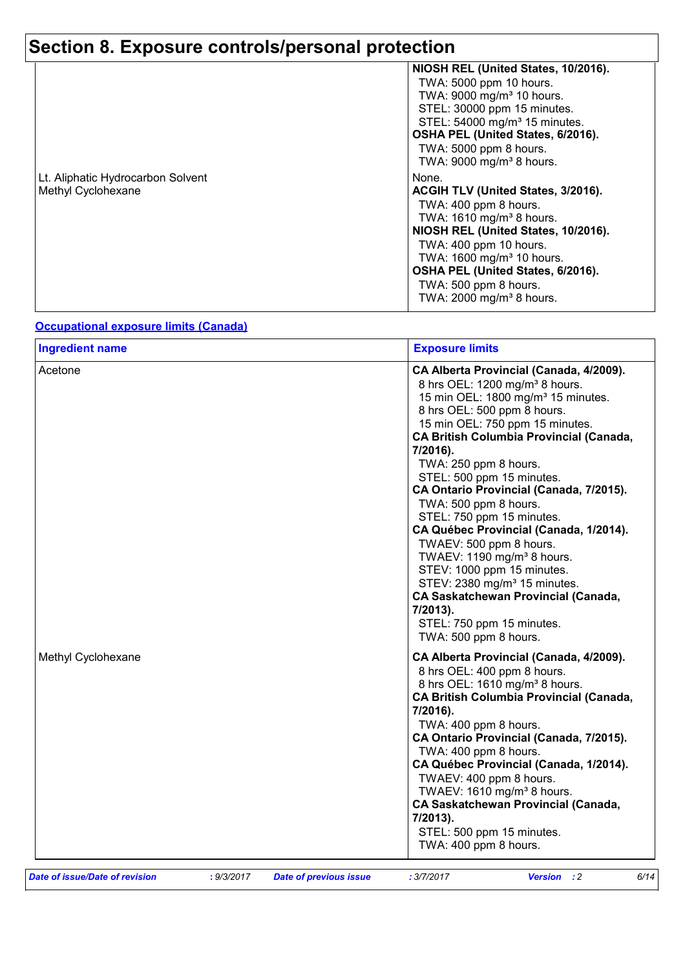# **Section 8. Exposure controls/personal protection**

|                                   | NIOSH REL (United States, 10/2016).       |
|-----------------------------------|-------------------------------------------|
|                                   | TWA: 5000 ppm 10 hours.                   |
|                                   | TWA: 9000 mg/m <sup>3</sup> 10 hours.     |
|                                   | STEL: 30000 ppm 15 minutes.               |
|                                   | STEL: 54000 mg/m <sup>3</sup> 15 minutes. |
|                                   | OSHA PEL (United States, 6/2016).         |
|                                   | TWA: 5000 ppm 8 hours.                    |
|                                   | TWA: 9000 mg/m <sup>3</sup> 8 hours.      |
| Lt. Aliphatic Hydrocarbon Solvent | None.                                     |
| Methyl Cyclohexane                | ACGIH TLV (United States, 3/2016).        |
|                                   | TWA: 400 ppm 8 hours.                     |
|                                   | TWA: 1610 mg/m <sup>3</sup> 8 hours.      |
|                                   | NIOSH REL (United States, 10/2016).       |
|                                   | TWA: 400 ppm 10 hours.                    |
|                                   | TWA: 1600 mg/m <sup>3</sup> 10 hours.     |
|                                   | OSHA PEL (United States, 6/2016).         |
|                                   | TWA: 500 ppm 8 hours.                     |
|                                   | TWA: 2000 mg/m <sup>3</sup> 8 hours.      |

#### **Occupational exposure limits (Canada)**

| <b>Ingredient name</b>                |                                                  |                        | <b>Exposure limits</b>                                                                                                                                                                                                                                                                                                                                                                                                                                                                                                                                                                                                                                                                 |
|---------------------------------------|--------------------------------------------------|------------------------|----------------------------------------------------------------------------------------------------------------------------------------------------------------------------------------------------------------------------------------------------------------------------------------------------------------------------------------------------------------------------------------------------------------------------------------------------------------------------------------------------------------------------------------------------------------------------------------------------------------------------------------------------------------------------------------|
| Acetone                               | 7/2016).<br>$7/2013$ ).<br>TWA: 500 ppm 8 hours. |                        | CA Alberta Provincial (Canada, 4/2009).<br>8 hrs OEL: 1200 mg/m <sup>3</sup> 8 hours.<br>15 min OEL: 1800 mg/m <sup>3</sup> 15 minutes.<br>8 hrs OEL: 500 ppm 8 hours.<br>15 min OEL: 750 ppm 15 minutes.<br><b>CA British Columbia Provincial (Canada,</b><br>TWA: 250 ppm 8 hours.<br>STEL: 500 ppm 15 minutes.<br>CA Ontario Provincial (Canada, 7/2015).<br>TWA: 500 ppm 8 hours.<br>STEL: 750 ppm 15 minutes.<br>CA Québec Provincial (Canada, 1/2014).<br>TWAEV: 500 ppm 8 hours.<br>TWAEV: 1190 mg/m <sup>3</sup> 8 hours.<br>STEV: 1000 ppm 15 minutes.<br>STEV: 2380 mg/m <sup>3</sup> 15 minutes.<br><b>CA Saskatchewan Provincial (Canada,</b><br>STEL: 750 ppm 15 minutes. |
| Methyl Cyclohexane                    |                                                  |                        | CA Alberta Provincial (Canada, 4/2009).<br>8 hrs OEL: 400 ppm 8 hours.<br>8 hrs OEL: 1610 mg/m <sup>3</sup> 8 hours.<br><b>CA British Columbia Provincial (Canada,</b><br>7/2016).<br>TWA: 400 ppm 8 hours.<br>CA Ontario Provincial (Canada, 7/2015).<br>TWA: 400 ppm 8 hours.<br>CA Québec Provincial (Canada, 1/2014).<br>TWAEV: 400 ppm 8 hours.<br>TWAEV: 1610 mg/m <sup>3</sup> 8 hours.<br><b>CA Saskatchewan Provincial (Canada,</b><br>7/2013).<br>STEL: 500 ppm 15 minutes.<br>TWA: 400 ppm 8 hours.                                                                                                                                                                         |
| <b>Date of issue/Date of revision</b> | : 9/3/2017                                       | Date of previous issue | 6/14<br>: 3/7/2017<br>$\cdot$ :2<br><b>Version</b>                                                                                                                                                                                                                                                                                                                                                                                                                                                                                                                                                                                                                                     |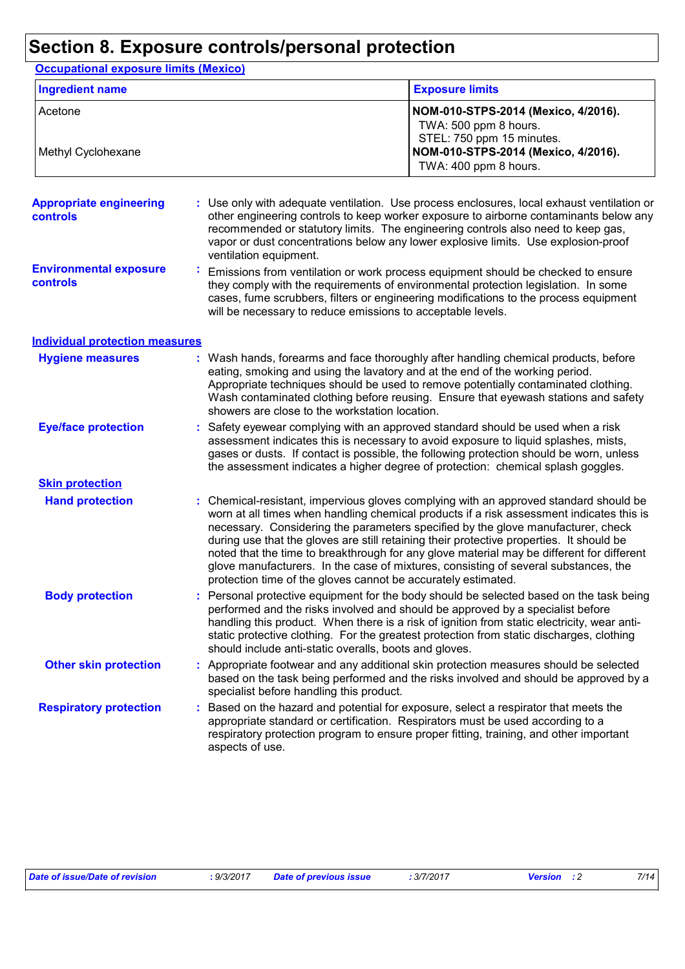## **Section 8. Exposure controls/personal protection**

**Occupational exposure limits (Mexico)**

| <b>Ingredient name</b>                            |                        | <b>Exposure limits</b>                                                                                                                                                                                                                                                                                                                                                                                                                                                                                                                                                                                               |
|---------------------------------------------------|------------------------|----------------------------------------------------------------------------------------------------------------------------------------------------------------------------------------------------------------------------------------------------------------------------------------------------------------------------------------------------------------------------------------------------------------------------------------------------------------------------------------------------------------------------------------------------------------------------------------------------------------------|
| Acetone<br>Methyl Cyclohexane                     |                        | NOM-010-STPS-2014 (Mexico, 4/2016).<br>TWA: 500 ppm 8 hours.<br>STEL: 750 ppm 15 minutes.<br>NOM-010-STPS-2014 (Mexico, 4/2016).<br>TWA: 400 ppm 8 hours.                                                                                                                                                                                                                                                                                                                                                                                                                                                            |
| <b>Appropriate engineering</b><br><b>controls</b> | ventilation equipment. | Use only with adequate ventilation. Use process enclosures, local exhaust ventilation or<br>other engineering controls to keep worker exposure to airborne contaminants below any<br>recommended or statutory limits. The engineering controls also need to keep gas,<br>vapor or dust concentrations below any lower explosive limits. Use explosion-proof                                                                                                                                                                                                                                                          |
| <b>Environmental exposure</b><br><b>controls</b>  |                        | Emissions from ventilation or work process equipment should be checked to ensure<br>they comply with the requirements of environmental protection legislation. In some<br>cases, fume scrubbers, filters or engineering modifications to the process equipment<br>will be necessary to reduce emissions to acceptable levels.                                                                                                                                                                                                                                                                                        |
| <b>Individual protection measures</b>             |                        |                                                                                                                                                                                                                                                                                                                                                                                                                                                                                                                                                                                                                      |
| <b>Hygiene measures</b>                           |                        | Wash hands, forearms and face thoroughly after handling chemical products, before<br>eating, smoking and using the lavatory and at the end of the working period.<br>Appropriate techniques should be used to remove potentially contaminated clothing.<br>Wash contaminated clothing before reusing. Ensure that eyewash stations and safety<br>showers are close to the workstation location.                                                                                                                                                                                                                      |
| <b>Eye/face protection</b>                        |                        | Safety eyewear complying with an approved standard should be used when a risk<br>assessment indicates this is necessary to avoid exposure to liquid splashes, mists,<br>gases or dusts. If contact is possible, the following protection should be worn, unless<br>the assessment indicates a higher degree of protection: chemical splash goggles.                                                                                                                                                                                                                                                                  |
| <b>Skin protection</b>                            |                        |                                                                                                                                                                                                                                                                                                                                                                                                                                                                                                                                                                                                                      |
| <b>Hand protection</b>                            |                        | Chemical-resistant, impervious gloves complying with an approved standard should be<br>worn at all times when handling chemical products if a risk assessment indicates this is<br>necessary. Considering the parameters specified by the glove manufacturer, check<br>during use that the gloves are still retaining their protective properties. It should be<br>noted that the time to breakthrough for any glove material may be different for different<br>glove manufacturers. In the case of mixtures, consisting of several substances, the<br>protection time of the gloves cannot be accurately estimated. |
| <b>Body protection</b>                            |                        | Personal protective equipment for the body should be selected based on the task being<br>performed and the risks involved and should be approved by a specialist before<br>handling this product. When there is a risk of ignition from static electricity, wear anti-<br>static protective clothing. For the greatest protection from static discharges, clothing<br>should include anti-static overalls, boots and gloves.                                                                                                                                                                                         |
| <b>Other skin protection</b>                      |                        | : Appropriate footwear and any additional skin protection measures should be selected<br>based on the task being performed and the risks involved and should be approved by a<br>specialist before handling this product.                                                                                                                                                                                                                                                                                                                                                                                            |
| <b>Respiratory protection</b>                     | ÷.<br>aspects of use.  | Based on the hazard and potential for exposure, select a respirator that meets the<br>appropriate standard or certification. Respirators must be used according to a<br>respiratory protection program to ensure proper fitting, training, and other important                                                                                                                                                                                                                                                                                                                                                       |

| Date of issue/Date of revision | : 9/3/2017 | <b>Date of previous issue</b> | : 3/7/2017 | <b>Version</b> : 2 | 7/14 |
|--------------------------------|------------|-------------------------------|------------|--------------------|------|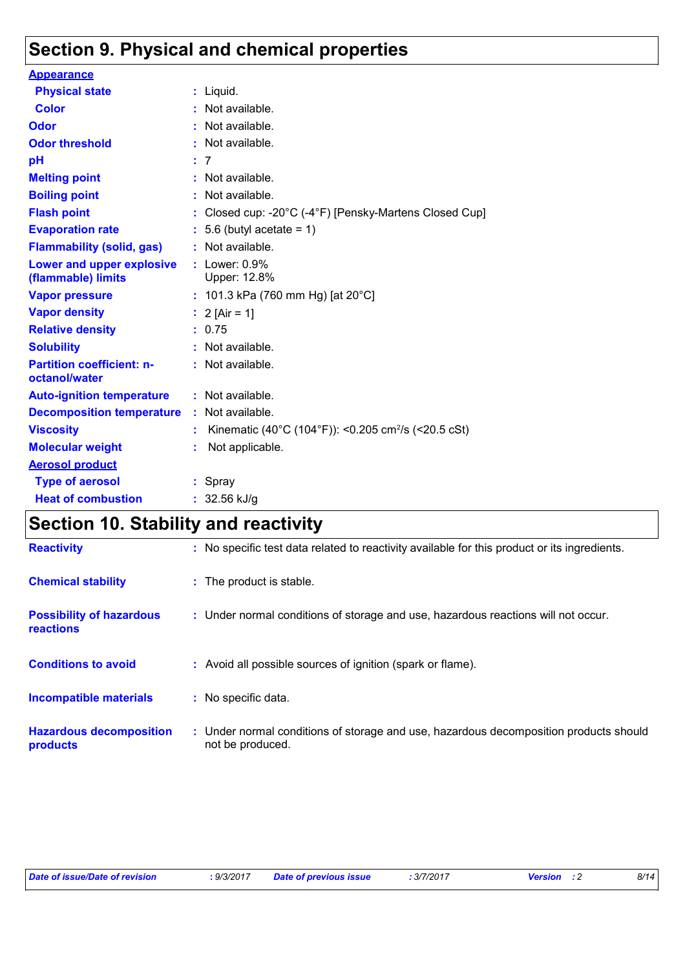## **Section 9. Physical and chemical properties**

| <b>Appearance</b>                                 |    |                                                                 |
|---------------------------------------------------|----|-----------------------------------------------------------------|
| <b>Physical state</b>                             |    | $:$ Liquid.                                                     |
| <b>Color</b>                                      |    | : Not available.                                                |
| <b>Odor</b>                                       |    | : Not available.                                                |
| <b>Odor threshold</b>                             |    | $:$ Not available.                                              |
| pH                                                |    | : 7                                                             |
| <b>Melting point</b>                              |    | : Not available.                                                |
| <b>Boiling point</b>                              |    | : Not available.                                                |
| <b>Flash point</b>                                |    | Closed cup: -20°C (-4°F) [Pensky-Martens Closed Cup]            |
| <b>Evaporation rate</b>                           |    | $: 5.6$ (butyl acetate = 1)                                     |
| <b>Flammability (solid, gas)</b>                  |    | : Not available.                                                |
| Lower and upper explosive<br>(flammable) limits   |    | : Lower: $0.9%$<br>Upper: 12.8%                                 |
| <b>Vapor pressure</b>                             |    | : 101.3 kPa (760 mm Hg) [at $20^{\circ}$ C]                     |
| <b>Vapor density</b>                              |    | : $2$ [Air = 1]                                                 |
| <b>Relative density</b>                           |    | : 0.75                                                          |
| <b>Solubility</b>                                 |    | : Not available.                                                |
| <b>Partition coefficient: n-</b><br>octanol/water |    | $:$ Not available.                                              |
| <b>Auto-ignition temperature</b>                  |    | : Not available.                                                |
| <b>Decomposition temperature</b>                  |    | : Not available.                                                |
| <b>Viscosity</b>                                  | ÷. | Kinematic (40°C (104°F)): <0.205 cm <sup>2</sup> /s (<20.5 cSt) |
| <b>Molecular weight</b>                           |    | Not applicable.                                                 |
| <b>Aerosol product</b>                            |    |                                                                 |
| <b>Type of aerosol</b>                            |    | $:$ Spray                                                       |
| <b>Heat of combustion</b>                         |    | : $32.56$ kJ/g                                                  |

## **Section 10. Stability and reactivity**

| <b>Reactivity</b>                            | : No specific test data related to reactivity available for this product or its ingredients.              |
|----------------------------------------------|-----------------------------------------------------------------------------------------------------------|
| <b>Chemical stability</b>                    | : The product is stable.                                                                                  |
| <b>Possibility of hazardous</b><br>reactions | : Under normal conditions of storage and use, hazardous reactions will not occur.                         |
| <b>Conditions to avoid</b>                   | : Avoid all possible sources of ignition (spark or flame).                                                |
| <b>Incompatible materials</b>                | : No specific data.                                                                                       |
| <b>Hazardous decomposition</b><br>products   | : Under normal conditions of storage and use, hazardous decomposition products should<br>not be produced. |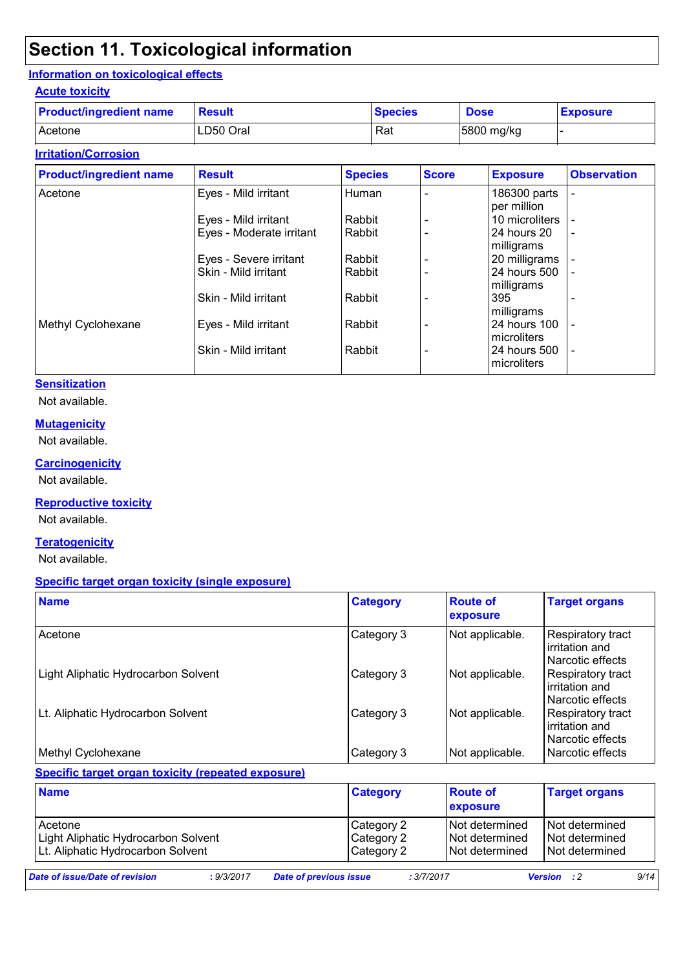## **Section 11. Toxicological information**

### **Information on toxicological effects**

### **Acute toxicity**

| <b>Product/ingredient name</b> | <b>Result</b> | <b>Species</b> | <b>Dose</b> | <b>Exposure</b> |
|--------------------------------|---------------|----------------|-------------|-----------------|
| l Acetone                      | LD50 Oral     | Rat            | 5800 mg/kg  |                 |

## **Irritation/Corrosion**

| <b>Product/ingredient name</b> | <b>Result</b>            | <b>Species</b> | <b>Score</b> | <b>Exposure</b>             | <b>Observation</b> |
|--------------------------------|--------------------------|----------------|--------------|-----------------------------|--------------------|
| Acetone                        | Eyes - Mild irritant     | Human          |              | 186300 parts<br>per million |                    |
|                                | Eyes - Mild irritant     | Rabbit         |              | 10 microliters              |                    |
|                                | Eyes - Moderate irritant | Rabbit         |              | 24 hours 20<br>milligrams   | $\blacksquare$     |
|                                | Eyes - Severe irritant   | Rabbit         |              | 20 milligrams               |                    |
|                                | Skin - Mild irritant     | Rabbit         |              | 24 hours 500<br>milligrams  |                    |
|                                | Skin - Mild irritant     | Rabbit         |              | 395<br>milligrams           |                    |
| Methyl Cyclohexane             | Eyes - Mild irritant     | Rabbit         |              | 24 hours 100<br>microliters |                    |
|                                | Skin - Mild irritant     | Rabbit         |              | 24 hours 500<br>microliters | ٠                  |

### **Sensitization**

Not available.

### **Mutagenicity**

Not available.

## **Carcinogenicity**

Not available.

### **Reproductive toxicity**

Not available.

#### **Teratogenicity**

Not available.

#### **Specific target organ toxicity (single exposure)**

| <b>Name</b>                         | <b>Category</b> | <b>Route of</b><br>exposure | <b>Target organs</b>                                           |
|-------------------------------------|-----------------|-----------------------------|----------------------------------------------------------------|
| Acetone                             | Category 3      | Not applicable.             | <b>Respiratory tract</b><br>irritation and<br>Narcotic effects |
| Light Aliphatic Hydrocarbon Solvent | Category 3      | Not applicable.             | Respiratory tract<br>irritation and<br>Narcotic effects        |
| Lt. Aliphatic Hydrocarbon Solvent   | Category 3      | Not applicable.             | Respiratory tract<br>irritation and<br>Narcotic effects        |
| Methyl Cyclohexane                  | Category 3      | Not applicable.             | l Narcotic effects                                             |

### **Specific target organ toxicity (repeated exposure)**

| <b>Name</b>                                                                         |            | <b>Category</b>                        |            | <b>Route of</b><br><b>exposure</b>                     | <b>Target organs</b>                                     |
|-------------------------------------------------------------------------------------|------------|----------------------------------------|------------|--------------------------------------------------------|----------------------------------------------------------|
| Acetone<br>Light Aliphatic Hydrocarbon Solvent<br>Lt. Aliphatic Hydrocarbon Solvent |            | Category 2<br>Category 2<br>Category 2 |            | Not determined<br>I Not determined<br>I Not determined | I Not determined<br>I Not determined<br>I Not determined |
| Date of issue/Date of revision                                                      | : 9/3/2017 | <b>Date of previous issue</b>          | : 3/7/2017 |                                                        | 9/14<br><b>Version</b> : 2                               |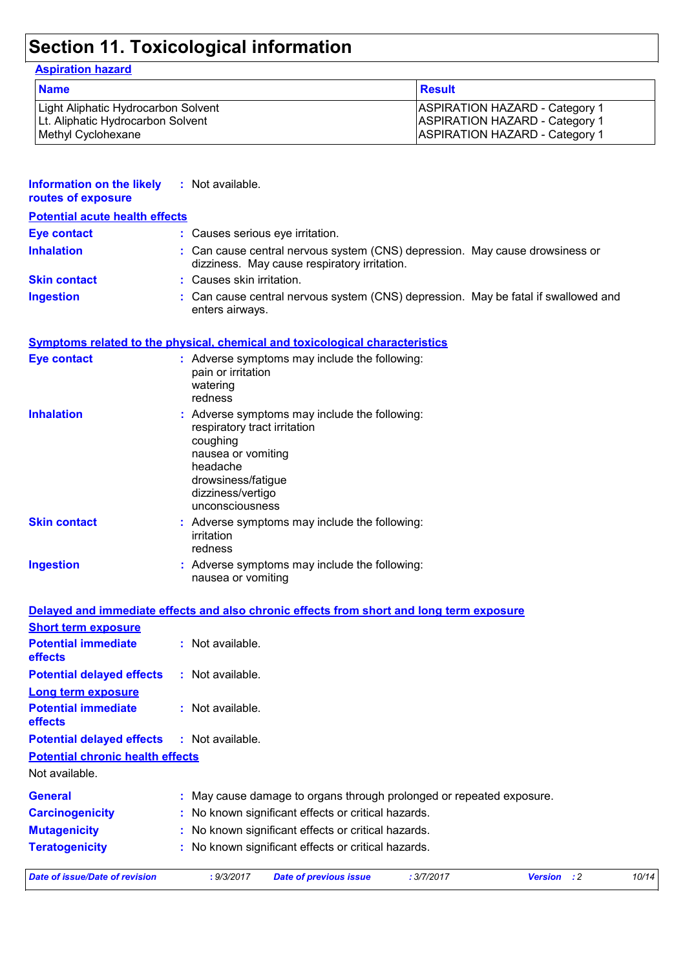# **Section 11. Toxicological information**

## **Aspiration hazard**

| <b>Name</b>                         | <b>Result</b>                         |
|-------------------------------------|---------------------------------------|
| Light Aliphatic Hydrocarbon Solvent | <b>ASPIRATION HAZARD - Category 1</b> |
| Lt. Aliphatic Hydrocarbon Solvent   | <b>ASPIRATION HAZARD - Category 1</b> |
| Methyl Cyclohexane                  | <b>ASPIRATION HAZARD - Category 1</b> |

| Information on the likely<br>routes of exposure                                          | : Not available.                                                                                                                         |                                                                                                                              |            |                    |       |
|------------------------------------------------------------------------------------------|------------------------------------------------------------------------------------------------------------------------------------------|------------------------------------------------------------------------------------------------------------------------------|------------|--------------------|-------|
| <b>Potential acute health effects</b>                                                    |                                                                                                                                          |                                                                                                                              |            |                    |       |
| <b>Eye contact</b>                                                                       |                                                                                                                                          | : Causes serious eye irritation.                                                                                             |            |                    |       |
| <b>Inhalation</b>                                                                        |                                                                                                                                          | : Can cause central nervous system (CNS) depression. May cause drowsiness or<br>dizziness. May cause respiratory irritation. |            |                    |       |
| <b>Skin contact</b>                                                                      | : Causes skin irritation.                                                                                                                |                                                                                                                              |            |                    |       |
| <b>Ingestion</b>                                                                         | enters airways.                                                                                                                          | : Can cause central nervous system (CNS) depression. May be fatal if swallowed and                                           |            |                    |       |
| <b>Symptoms related to the physical, chemical and toxicological characteristics</b>      |                                                                                                                                          |                                                                                                                              |            |                    |       |
| <b>Eye contact</b>                                                                       | pain or irritation<br>watering<br>redness                                                                                                | : Adverse symptoms may include the following:                                                                                |            |                    |       |
| <b>Inhalation</b>                                                                        | respiratory tract irritation<br>coughing<br>nausea or vomiting<br>headache<br>drowsiness/fatigue<br>dizziness/vertigo<br>unconsciousness | : Adverse symptoms may include the following:                                                                                |            |                    |       |
| <b>Skin contact</b>                                                                      | irritation<br>redness                                                                                                                    | : Adverse symptoms may include the following:                                                                                |            |                    |       |
| <b>Ingestion</b>                                                                         | nausea or vomiting                                                                                                                       | : Adverse symptoms may include the following:                                                                                |            |                    |       |
| Delayed and immediate effects and also chronic effects from short and long term exposure |                                                                                                                                          |                                                                                                                              |            |                    |       |
| <b>Short term exposure</b>                                                               |                                                                                                                                          |                                                                                                                              |            |                    |       |
| <b>Potential immediate</b><br>effects                                                    | : Not available.                                                                                                                         |                                                                                                                              |            |                    |       |
| <b>Potential delayed effects</b>                                                         | : Not available.                                                                                                                         |                                                                                                                              |            |                    |       |
| Long term exposure                                                                       |                                                                                                                                          |                                                                                                                              |            |                    |       |
| <b>Potential immediate</b><br>effects                                                    | : Not available.                                                                                                                         |                                                                                                                              |            |                    |       |
| <b>Potential delayed effects</b>                                                         | : Not available.                                                                                                                         |                                                                                                                              |            |                    |       |
| <b>Potential chronic health effects</b>                                                  |                                                                                                                                          |                                                                                                                              |            |                    |       |
| Not available.                                                                           |                                                                                                                                          |                                                                                                                              |            |                    |       |
| <b>General</b>                                                                           |                                                                                                                                          | May cause damage to organs through prolonged or repeated exposure.                                                           |            |                    |       |
| <b>Carcinogenicity</b>                                                                   |                                                                                                                                          | No known significant effects or critical hazards.                                                                            |            |                    |       |
| <b>Mutagenicity</b>                                                                      |                                                                                                                                          | No known significant effects or critical hazards.                                                                            |            |                    |       |
| <b>Teratogenicity</b>                                                                    |                                                                                                                                          | : No known significant effects or critical hazards.                                                                          |            |                    |       |
| <b>Date of issue/Date of revision</b>                                                    | : 9/3/2017                                                                                                                               | <b>Date of previous issue</b>                                                                                                | : 3/7/2017 | <b>Version</b> : 2 | 10/14 |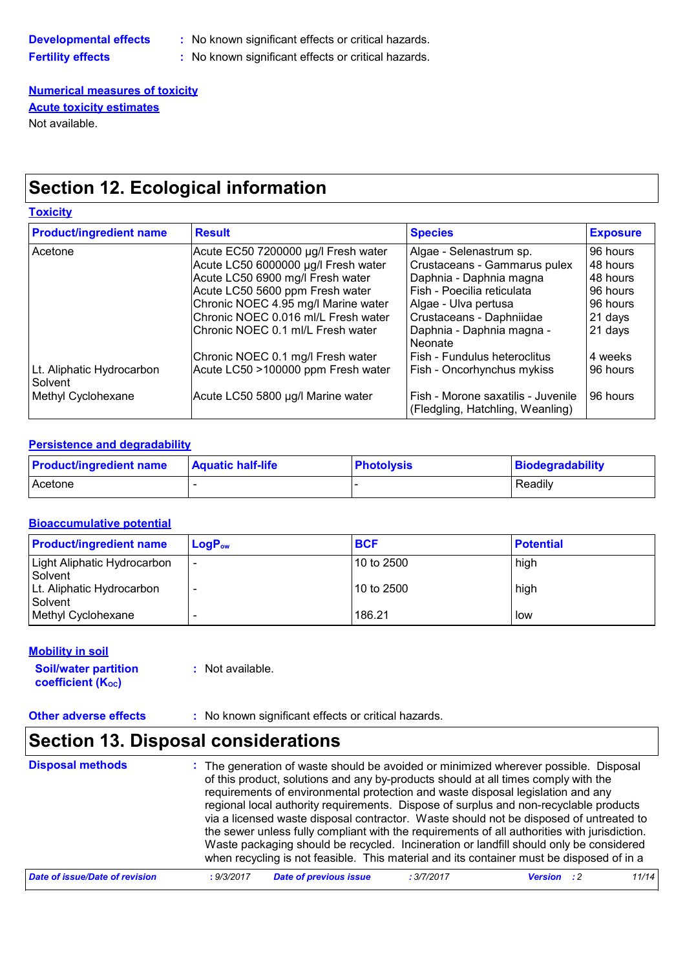| Developmental effects    |  |
|--------------------------|--|
| <b>Fertility effects</b> |  |

**B Developmental is now in significant effects or critical hazards.** 

**Fig. 2** No known significant effects or critical hazards.

**Numerical measures of toxicity** Not available. **Acute toxicity estimates**

## **Section 12. Ecological information**

### **Toxicity**

| <b>Product/ingredient name</b>       | <b>Result</b>                       | <b>Species</b>                                                           | <b>Exposure</b> |
|--------------------------------------|-------------------------------------|--------------------------------------------------------------------------|-----------------|
| Acetone                              | Acute EC50 7200000 µg/l Fresh water | Algae - Selenastrum sp.                                                  | 96 hours        |
|                                      | Acute LC50 6000000 µg/l Fresh water | Crustaceans - Gammarus pulex                                             | 48 hours        |
|                                      | Acute LC50 6900 mg/l Fresh water    | Daphnia - Daphnia magna                                                  | 48 hours        |
|                                      | Acute LC50 5600 ppm Fresh water     | Fish - Poecilia reticulata                                               | 96 hours        |
|                                      | Chronic NOEC 4.95 mg/l Marine water | Algae - Ulva pertusa                                                     | 96 hours        |
|                                      | Chronic NOEC 0.016 ml/L Fresh water | Crustaceans - Daphniidae                                                 | 21 days         |
|                                      | Chronic NOEC 0.1 ml/L Fresh water   | Daphnia - Daphnia magna -<br>Neonate                                     | 21 days         |
|                                      | Chronic NOEC 0.1 mg/l Fresh water   | l Fish - Fundulus heteroclitus                                           | 4 weeks         |
| Lt. Aliphatic Hydrocarbon<br>Solvent | Acute LC50 >100000 ppm Fresh water  | Fish - Oncorhynchus mykiss                                               | 96 hours        |
| Methyl Cyclohexane                   | Acute LC50 5800 µg/l Marine water   | l Fish - Morone saxatilis - Juvenile<br>(Fledgling, Hatchling, Weanling) | 96 hours        |

### **Persistence and degradability**

| <b>Product/ingredient name</b> | <b>Aquatic half-life</b> | <b>Photolysis</b> | Biodegradability |
|--------------------------------|--------------------------|-------------------|------------------|
| <b>Acetone</b>                 |                          |                   | Readily          |

### **Bioaccumulative potential**

| <b>Product/ingredient name</b>              | $LogP_{ow}$              | <b>BCF</b> | <b>Potential</b> |
|---------------------------------------------|--------------------------|------------|------------------|
| Light Aliphatic Hydrocarbon<br>Solvent      | $\overline{\phantom{0}}$ | 10 to 2500 | high             |
| Lt. Aliphatic Hydrocarbon<br><b>Solvent</b> |                          | 10 to 2500 | high             |
| Methyl Cyclohexane                          |                          | 186.21     | low              |

### **Mobility in soil**

| <b>Soil/water partition</b> | : Not available. |
|-----------------------------|------------------|
| <b>coefficient (Koc)</b>    |                  |

**Other adverse effects** : No known significant effects or critical hazards.

## **Section 13. Disposal considerations**

| <b>Disposal methods</b>        | : The generation of waste should be avoided or minimized wherever possible. Disposal<br>of this product, solutions and any by-products should at all times comply with the<br>requirements of environmental protection and waste disposal legislation and any<br>regional local authority requirements. Dispose of surplus and non-recyclable products<br>via a licensed waste disposal contractor. Waste should not be disposed of untreated to<br>the sewer unless fully compliant with the requirements of all authorities with jurisdiction.<br>Waste packaging should be recycled. Incineration or landfill should only be considered<br>when recycling is not feasible. This material and its container must be disposed of in a |                                  |       |
|--------------------------------|----------------------------------------------------------------------------------------------------------------------------------------------------------------------------------------------------------------------------------------------------------------------------------------------------------------------------------------------------------------------------------------------------------------------------------------------------------------------------------------------------------------------------------------------------------------------------------------------------------------------------------------------------------------------------------------------------------------------------------------|----------------------------------|-------|
| Date of issue/Date of revision | <b>Date of previous issue</b><br>: 9/3/2017                                                                                                                                                                                                                                                                                                                                                                                                                                                                                                                                                                                                                                                                                            | : 3/7/2017<br><b>Version</b> : 2 | 11/14 |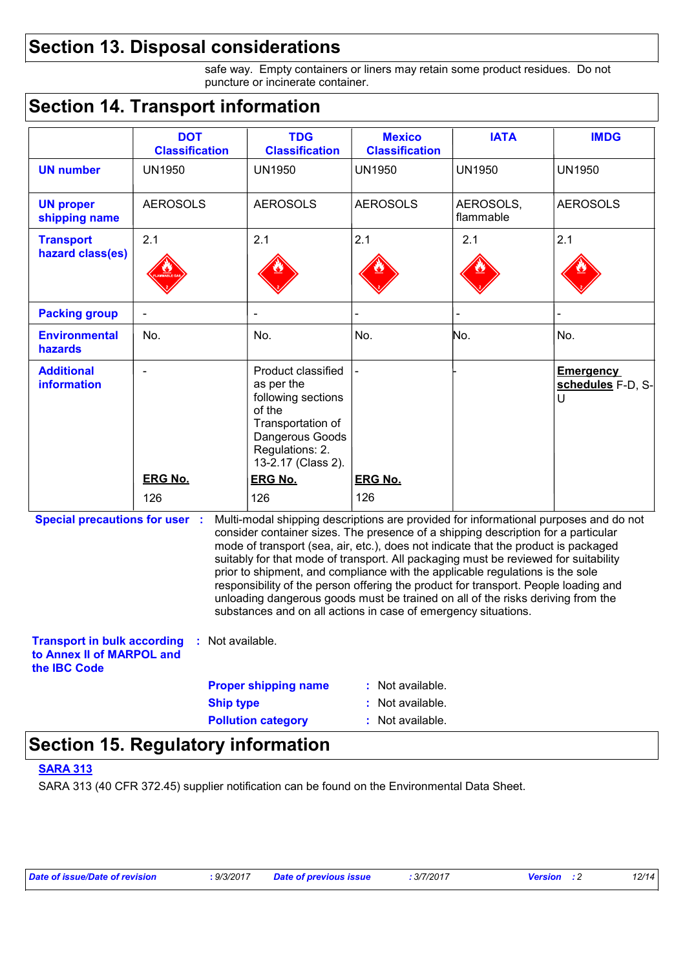## **Section 13. Disposal considerations**

safe way. Empty containers or liners may retain some product residues. Do not puncture or incinerate container.

## **Section 14. Transport information**

|                                                                                                                                                                                                                                                                                                                                                                                                                                                                                                                                                                                                                                                                                                                              | <b>DOT</b><br><b>Classification</b> | <b>TDG</b><br><b>Classification</b>                                                                                                               | <b>Mexico</b><br><b>Classification</b> | <b>IATA</b>            | <b>IMDG</b>                                |
|------------------------------------------------------------------------------------------------------------------------------------------------------------------------------------------------------------------------------------------------------------------------------------------------------------------------------------------------------------------------------------------------------------------------------------------------------------------------------------------------------------------------------------------------------------------------------------------------------------------------------------------------------------------------------------------------------------------------------|-------------------------------------|---------------------------------------------------------------------------------------------------------------------------------------------------|----------------------------------------|------------------------|--------------------------------------------|
| <b>UN number</b>                                                                                                                                                                                                                                                                                                                                                                                                                                                                                                                                                                                                                                                                                                             | <b>UN1950</b>                       | <b>UN1950</b>                                                                                                                                     | <b>UN1950</b>                          | <b>UN1950</b>          | <b>UN1950</b>                              |
| <b>UN proper</b><br>shipping name                                                                                                                                                                                                                                                                                                                                                                                                                                                                                                                                                                                                                                                                                            | <b>AEROSOLS</b>                     | <b>AEROSOLS</b>                                                                                                                                   | <b>AEROSOLS</b>                        | AEROSOLS,<br>flammable | <b>AEROSOLS</b>                            |
| <b>Transport</b><br>hazard class(es)                                                                                                                                                                                                                                                                                                                                                                                                                                                                                                                                                                                                                                                                                         | 2.1                                 | 2.1                                                                                                                                               | 2.1                                    | 2.1                    | 2.1                                        |
| <b>Packing group</b>                                                                                                                                                                                                                                                                                                                                                                                                                                                                                                                                                                                                                                                                                                         |                                     |                                                                                                                                                   |                                        |                        |                                            |
| <b>Environmental</b><br>hazards                                                                                                                                                                                                                                                                                                                                                                                                                                                                                                                                                                                                                                                                                              | No.                                 | No.                                                                                                                                               | No.                                    | No.                    | No.                                        |
| <b>Additional</b><br>information                                                                                                                                                                                                                                                                                                                                                                                                                                                                                                                                                                                                                                                                                             | $\blacksquare$                      | Product classified<br>as per the<br>following sections<br>of the<br>Transportation of<br>Dangerous Goods<br>Regulations: 2.<br>13-2.17 (Class 2). |                                        |                        | <b>Emergency</b><br>schedules F-D, S-<br>U |
|                                                                                                                                                                                                                                                                                                                                                                                                                                                                                                                                                                                                                                                                                                                              | <b>ERG No.</b><br>126               | <b>ERG No.</b><br>126                                                                                                                             | <b>ERG No.</b><br>126                  |                        |                                            |
| <b>Special precautions for user :</b><br>Multi-modal shipping descriptions are provided for informational purposes and do not<br>consider container sizes. The presence of a shipping description for a particular<br>mode of transport (sea, air, etc.), does not indicate that the product is packaged<br>suitably for that mode of transport. All packaging must be reviewed for suitability<br>prior to shipment, and compliance with the applicable regulations is the sole<br>responsibility of the person offering the product for transport. People loading and<br>unloading dangerous goods must be trained on all of the risks deriving from the<br>substances and on all actions in case of emergency situations. |                                     |                                                                                                                                                   |                                        |                        |                                            |
| <b>Transport in bulk according</b><br>to Annex II of MARPOL and<br>the <b>IBC</b> Code                                                                                                                                                                                                                                                                                                                                                                                                                                                                                                                                                                                                                                       | Not available.<br>÷.                |                                                                                                                                                   |                                        |                        |                                            |
|                                                                                                                                                                                                                                                                                                                                                                                                                                                                                                                                                                                                                                                                                                                              |                                     | <b>Proper shipping name</b>                                                                                                                       | : Not available.                       |                        |                                            |
|                                                                                                                                                                                                                                                                                                                                                                                                                                                                                                                                                                                                                                                                                                                              |                                     |                                                                                                                                                   |                                        |                        |                                            |
|                                                                                                                                                                                                                                                                                                                                                                                                                                                                                                                                                                                                                                                                                                                              | <b>Ship type</b>                    | <b>Pollution category</b>                                                                                                                         | : Not available.<br>: Not available.   |                        |                                            |

## **Section 15. Regulatory information**

## **SARA 313**

SARA 313 (40 CFR 372.45) supplier notification can be found on the Environmental Data Sheet.

*Date of issue/Date of revision* **:** *9/3/2017 Date of previous issue : 3/7/2017 Version : 2 12/14*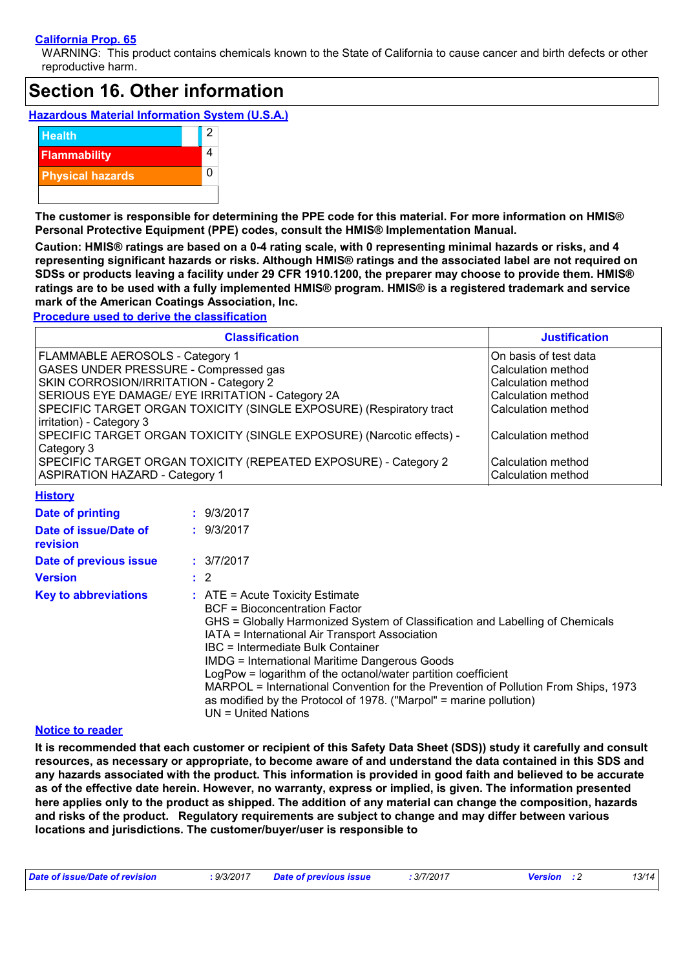### **California Prop. 65**

WARNING: This product contains chemicals known to the State of California to cause cancer and birth defects or other reproductive harm.

## **Section 16. Other information**

**Hazardous Material Information System (U.S.A.)**



**The customer is responsible for determining the PPE code for this material. For more information on HMIS® Personal Protective Equipment (PPE) codes, consult the HMIS® Implementation Manual.**

**Caution: HMIS® ratings are based on a 0-4 rating scale, with 0 representing minimal hazards or risks, and 4 representing significant hazards or risks. Although HMIS® ratings and the associated label are not required on SDSs or products leaving a facility under 29 CFR 1910.1200, the preparer may choose to provide them. HMIS® ratings are to be used with a fully implemented HMIS® program. HMIS® is a registered trademark and service mark of the American Coatings Association, Inc.**

**Procedure used to derive the classification**

| <b>Classification</b>                                                 | <b>Justification</b>  |
|-----------------------------------------------------------------------|-----------------------|
| FLAMMABLE AEROSOLS - Category 1                                       | On basis of test data |
| <b>GASES UNDER PRESSURE - Compressed gas</b>                          | Calculation method    |
| SKIN CORROSION/IRRITATION - Category 2                                | Calculation method    |
| SERIOUS EYE DAMAGE/ EYE IRRITATION - Category 2A                      | Calculation method    |
| SPECIFIC TARGET ORGAN TOXICITY (SINGLE EXPOSURE) (Respiratory tract   | Calculation method    |
| irritation) - Category 3                                              |                       |
| SPECIFIC TARGET ORGAN TOXICITY (SINGLE EXPOSURE) (Narcotic effects) - | Calculation method    |
| Category 3                                                            |                       |
| SPECIFIC TARGET ORGAN TOXICITY (REPEATED EXPOSURE) - Category 2       | ICalculation method   |
| <b>ASPIRATION HAZARD - Category 1</b>                                 | Calculation method    |

| <b>History</b>                    |                                                                                                                                                                                                                                                                                                                                                                                                                                                                                                                                                                          |
|-----------------------------------|--------------------------------------------------------------------------------------------------------------------------------------------------------------------------------------------------------------------------------------------------------------------------------------------------------------------------------------------------------------------------------------------------------------------------------------------------------------------------------------------------------------------------------------------------------------------------|
| Date of printing                  | : 9/3/2017                                                                                                                                                                                                                                                                                                                                                                                                                                                                                                                                                               |
| Date of issue/Date of<br>revision | : 9/3/2017                                                                                                                                                                                                                                                                                                                                                                                                                                                                                                                                                               |
| Date of previous issue            | : 3/7/2017                                                                                                                                                                                                                                                                                                                                                                                                                                                                                                                                                               |
| <b>Version</b>                    | $\therefore$ 2                                                                                                                                                                                                                                                                                                                                                                                                                                                                                                                                                           |
| <b>Key to abbreviations</b>       | $\therefore$ ATE = Acute Toxicity Estimate<br><b>BCF</b> = Bioconcentration Factor<br>GHS = Globally Harmonized System of Classification and Labelling of Chemicals<br>IATA = International Air Transport Association<br>IBC = Intermediate Bulk Container<br><b>IMDG = International Maritime Dangerous Goods</b><br>LogPow = logarithm of the octanol/water partition coefficient<br>MARPOL = International Convention for the Prevention of Pollution From Ships, 1973<br>as modified by the Protocol of 1978. ("Marpol" = marine pollution)<br>$UN = United Nations$ |

#### **Notice to reader**

**It is recommended that each customer or recipient of this Safety Data Sheet (SDS)) study it carefully and consult resources, as necessary or appropriate, to become aware of and understand the data contained in this SDS and any hazards associated with the product. This information is provided in good faith and believed to be accurate as of the effective date herein. However, no warranty, express or implied, is given. The information presented here applies only to the product as shipped. The addition of any material can change the composition, hazards and risks of the product. Regulatory requirements are subject to change and may differ between various locations and jurisdictions. The customer/buyer/user is responsible to** 

| Date of issue/Date of revision<br>: 9/3/2017 | <b>Date of previous issue</b> | : 3/7/2017<br><b>Version</b> : 2 |  | 13/14 |
|----------------------------------------------|-------------------------------|----------------------------------|--|-------|
|----------------------------------------------|-------------------------------|----------------------------------|--|-------|